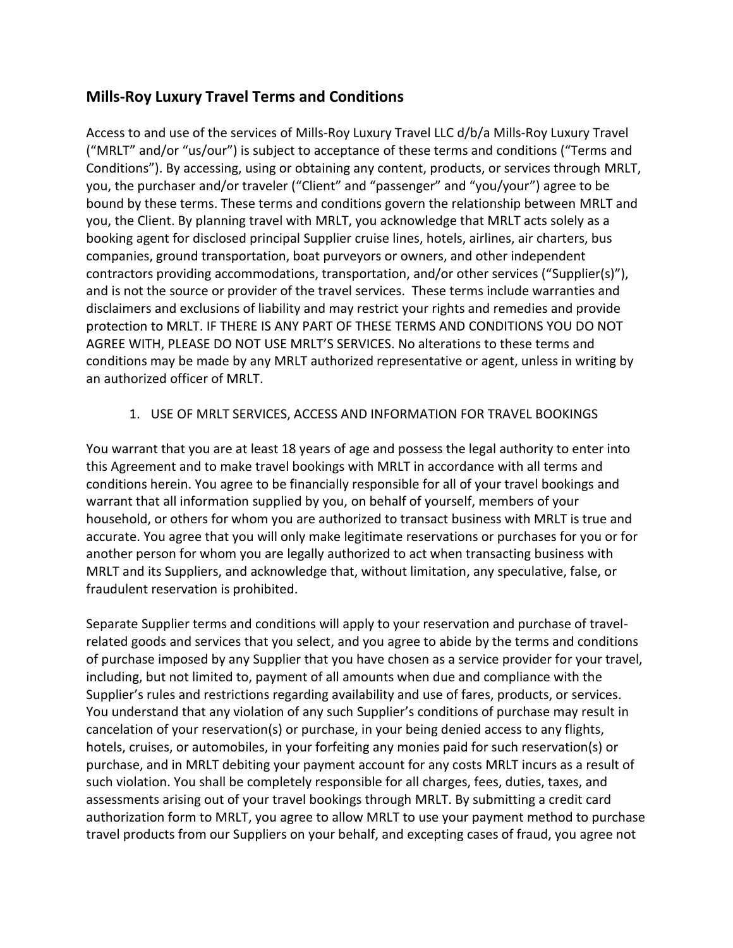# **Mills-Roy Luxury Travel Terms and Conditions**

Access to and use of the services of Mills-Roy Luxury Travel LLC d/b/a Mills-Roy Luxury Travel ("MRLT" and/or "us/our") is subject to acceptance of these terms and conditions ("Terms and Conditions"). By accessing, using or obtaining any content, products, or services through MRLT, you, the purchaser and/or traveler ("Client" and "passenger" and "you/your") agree to be bound by these terms. These terms and conditions govern the relationship between MRLT and you, the Client. By planning travel with MRLT, you acknowledge that MRLT acts solely as a booking agent for disclosed principal Supplier cruise lines, hotels, airlines, air charters, bus companies, ground transportation, boat purveyors or owners, and other independent contractors providing accommodations, transportation, and/or other services ("Supplier(s)"), and is not the source or provider of the travel services. These terms include warranties and disclaimers and exclusions of liability and may restrict your rights and remedies and provide protection to MRLT. IF THERE IS ANY PART OF THESE TERMS AND CONDITIONS YOU DO NOT AGREE WITH, PLEASE DO NOT USE MRLT'S SERVICES. No alterations to these terms and conditions may be made by any MRLT authorized representative or agent, unless in writing by an authorized officer of MRLT.

### 1. USE OF MRLT SERVICES, ACCESS AND INFORMATION FOR TRAVEL BOOKINGS

You warrant that you are at least 18 years of age and possess the legal authority to enter into this Agreement and to make travel bookings with MRLT in accordance with all terms and conditions herein. You agree to be financially responsible for all of your travel bookings and warrant that all information supplied by you, on behalf of yourself, members of your household, or others for whom you are authorized to transact business with MRLT is true and accurate. You agree that you will only make legitimate reservations or purchases for you or for another person for whom you are legally authorized to act when transacting business with MRLT and its Suppliers, and acknowledge that, without limitation, any speculative, false, or fraudulent reservation is prohibited.

Separate Supplier terms and conditions will apply to your reservation and purchase of travelrelated goods and services that you select, and you agree to abide by the terms and conditions of purchase imposed by any Supplier that you have chosen as a service provider for your travel, including, but not limited to, payment of all amounts when due and compliance with the Supplier's rules and restrictions regarding availability and use of fares, products, or services. You understand that any violation of any such Supplier's conditions of purchase may result in cancelation of your reservation(s) or purchase, in your being denied access to any flights, hotels, cruises, or automobiles, in your forfeiting any monies paid for such reservation(s) or purchase, and in MRLT debiting your payment account for any costs MRLT incurs as a result of such violation. You shall be completely responsible for all charges, fees, duties, taxes, and assessments arising out of your travel bookings through MRLT. By submitting a credit card authorization form to MRLT, you agree to allow MRLT to use your payment method to purchase travel products from our Suppliers on your behalf, and excepting cases of fraud, you agree not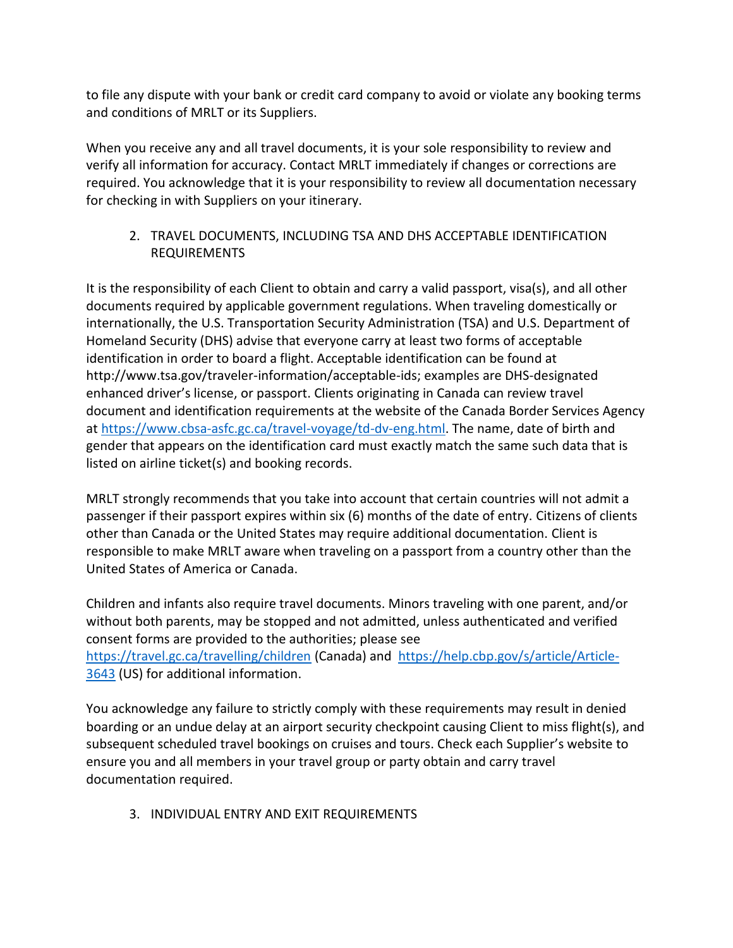to file any dispute with your bank or credit card company to avoid or violate any booking terms and conditions of MRLT or its Suppliers.

When you receive any and all travel documents, it is your sole responsibility to review and verify all information for accuracy. Contact MRLT immediately if changes or corrections are required. You acknowledge that it is your responsibility to review all documentation necessary for checking in with Suppliers on your itinerary.

## 2. TRAVEL DOCUMENTS, INCLUDING TSA AND DHS ACCEPTABLE IDENTIFICATION REQUIREMENTS

It is the responsibility of each Client to obtain and carry a valid passport, visa(s), and all other documents required by applicable government regulations. When traveling domestically or internationally, the U.S. Transportation Security Administration (TSA) and U.S. Department of Homeland Security (DHS) advise that everyone carry at least two forms of acceptable identification in order to board a flight. Acceptable identification can be found at http://www.tsa.gov/traveler-information/acceptable-ids; examples are DHS-designated enhanced driver's license, or passport. Clients originating in Canada can review travel document and identification requirements at the website of the Canada Border Services Agency at [https://www.cbsa-asfc.gc.ca/travel-voyage/td-dv-eng.html.](https://www.cbsa-asfc.gc.ca/travel-voyage/td-dv-eng.html) The name, date of birth and gender that appears on the identification card must exactly match the same such data that is listed on airline ticket(s) and booking records.

MRLT strongly recommends that you take into account that certain countries will not admit a passenger if their passport expires within six (6) months of the date of entry. Citizens of clients other than Canada or the United States may require additional documentation. Client is responsible to make MRLT aware when traveling on a passport from a country other than the United States of America or Canada.

Children and infants also require travel documents. Minors traveling with one parent, and/or without both parents, may be stopped and not admitted, unless authenticated and verified consent forms are provided to the authorities; please see <https://travel.gc.ca/travelling/children> (Canada) and [https://help.cbp.gov/s/article/Article-](https://help.cbp.gov/s/article/Article-3643)[3643](https://help.cbp.gov/s/article/Article-3643) (US) for additional information.

You acknowledge any failure to strictly comply with these requirements may result in denied boarding or an undue delay at an airport security checkpoint causing Client to miss flight(s), and subsequent scheduled travel bookings on cruises and tours. Check each Supplier's website to ensure you and all members in your travel group or party obtain and carry travel documentation required.

3. INDIVIDUAL ENTRY AND EXIT REQUIREMENTS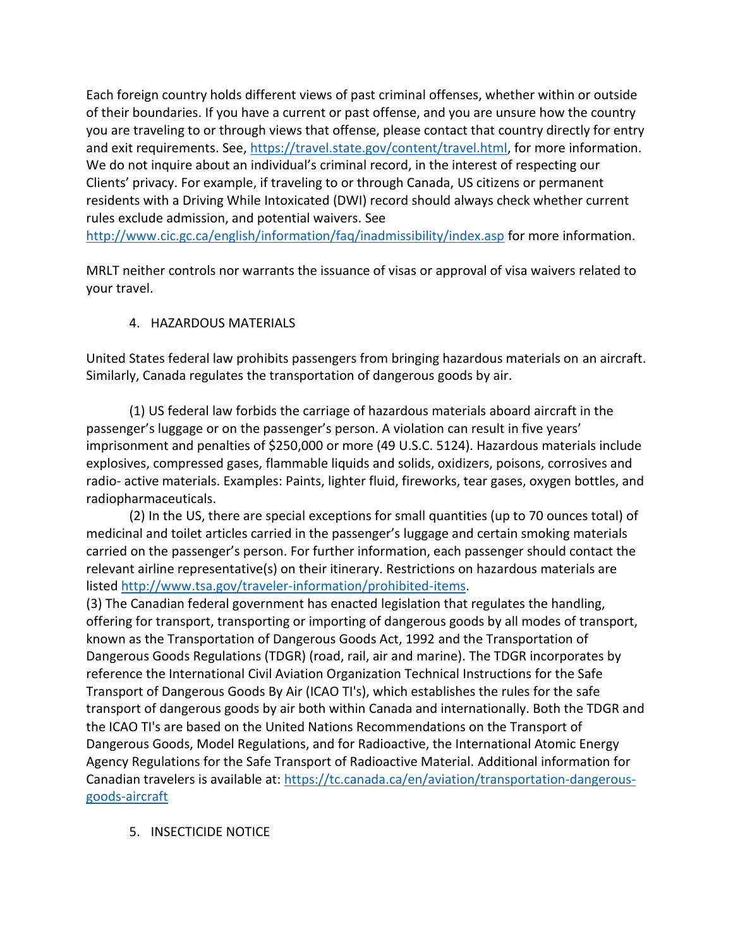Each foreign country holds different views of past criminal offenses, whether within or outside of their boundaries. If you have a current or past offense, and you are unsure how the country you are traveling to or through views that offense, please contact that country directly for entry and exit requirements. See, [https://travel.state.gov/content/travel.html,](https://travel.state.gov/content/travel.html) for more information. We do not inquire about an individual's criminal record, in the interest of respecting our Clients' privacy. For example, if traveling to or through Canada, US citizens or permanent residents with a Driving While Intoxicated (DWI) record should always check whether current rules exclude admission, and potential waivers. See

<http://www.cic.gc.ca/english/information/faq/inadmissibility/index.asp> for more information.

MRLT neither controls nor warrants the issuance of visas or approval of visa waivers related to your travel.

### 4. HAZARDOUS MATERIALS

United States federal law prohibits passengers from bringing hazardous materials on an aircraft. Similarly, Canada regulates the transportation of dangerous goods by air.

(1) US federal law forbids the carriage of hazardous materials aboard aircraft in the passenger's luggage or on the passenger's person. A violation can result in five years' imprisonment and penalties of \$250,000 or more (49 U.S.C. 5124). Hazardous materials include explosives, compressed gases, flammable liquids and solids, oxidizers, poisons, corrosives and radio- active materials. Examples: Paints, lighter fluid, fireworks, tear gases, oxygen bottles, and radiopharmaceuticals.

(2) In the US, there are special exceptions for small quantities (up to 70 ounces total) of medicinal and toilet articles carried in the passenger's luggage and certain smoking materials carried on the passenger's person. For further information, each passenger should contact the relevant airline representative(s) on their itinerary. Restrictions on hazardous materials are listed [http://www.tsa.gov/traveler-information/prohibited-items.](http://www.tsa.gov/traveler-information/prohibited-items)

(3) The Canadian federal government has enacted legislation that regulates the handling, offering for transport, transporting or importing of dangerous goods by all modes of transport, known as the [Transportation of Dangerous Goods Act, 1992](https://tc.canada.ca/en/corporate-services/acts-regulations/transportation-dangerous-goods-act-1992-1992-c-34) and the [Transportation of](https://tc.canada.ca/en/dangerous-goods/transportation-dangerous-goods/table-contents)  [Dangerous Goods Regulations](https://tc.canada.ca/en/dangerous-goods/transportation-dangerous-goods/table-contents) (TDGR) (road, rail, air and marine). The TDGR incorporates by reference the International Civil Aviation Organization Technical Instructions for the Safe Transport of Dangerous Goods By Air (ICAO TI's), which establishes the rules for the safe transport of dangerous goods by air both within Canada and internationally. Both the TDGR and the ICAO TI's are based on the United Nations Recommendations on the Transport of Dangerous Goods, Model Regulations, and for Radioactive, the International Atomic Energy Agency Regulations for the Safe Transport of Radioactive Material. Additional information for Canadian travelers is available at: [https://tc.canada.ca/en/aviation/transportation-dangerous](https://tc.canada.ca/en/aviation/transportation-dangerous-goods-aircraft)[goods-aircraft](https://tc.canada.ca/en/aviation/transportation-dangerous-goods-aircraft)

5. INSECTICIDE NOTICE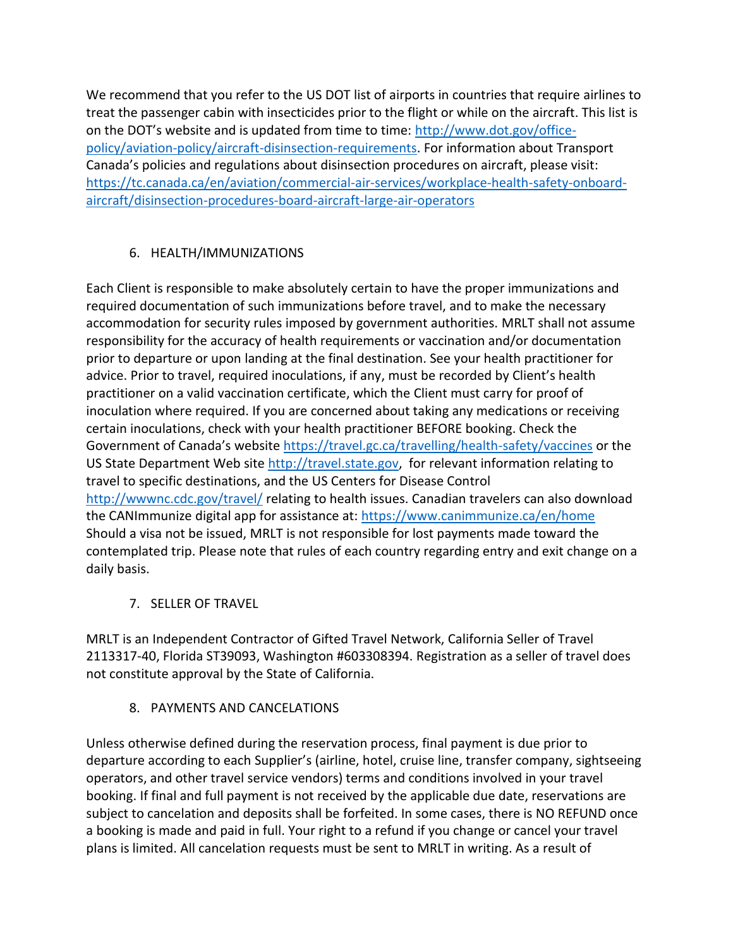We recommend that you refer to the US DOT list of airports in countries that require airlines to treat the passenger cabin with insecticides prior to the flight or while on the aircraft. This list is on the DOT's website and is updated from time to time: [http://www.dot.gov/office](http://www.dot.gov/office-policy/aviation-policy/aircraft-disinsection-requirements)[policy/aviation-policy/aircraft-disinsection-requirements.](http://www.dot.gov/office-policy/aviation-policy/aircraft-disinsection-requirements) For information about Transport Canada's policies and regulations about disinsection procedures on aircraft, please visit: [https://tc.canada.ca/en/aviation/commercial-air-services/workplace-health-safety-onboard](https://tc.canada.ca/en/aviation/commercial-air-services/workplace-health-safety-onboard-aircraft/disinsection-procedures-board-aircraft-large-air-operators)[aircraft/disinsection-procedures-board-aircraft-large-air-operators](https://tc.canada.ca/en/aviation/commercial-air-services/workplace-health-safety-onboard-aircraft/disinsection-procedures-board-aircraft-large-air-operators)

## 6. HEALTH/IMMUNIZATIONS

Each Client is responsible to make absolutely certain to have the proper immunizations and required documentation of such immunizations before travel, and to make the necessary accommodation for security rules imposed by government authorities. MRLT shall not assume responsibility for the accuracy of health requirements or vaccination and/or documentation prior to departure or upon landing at the final destination. See your health practitioner for advice. Prior to travel, required inoculations, if any, must be recorded by Client's health practitioner on a valid vaccination certificate, which the Client must carry for proof of inoculation where required. If you are concerned about taking any medications or receiving certain inoculations, check with your health practitioner BEFORE booking. Check the Government of Canada's website <https://travel.gc.ca/travelling/health-safety/vaccines> or the US State Department Web site [http://travel.state.gov,](http://travel.state.gov/) for relevant information relating to travel to specific destinations, and the US Centers for Disease Control <http://wwwnc.cdc.gov/travel/> relating to health issues. Canadian travelers can also download the CANImmunize digital app for assistance at:<https://www.canimmunize.ca/en/home> Should a visa not be issued, MRLT is not responsible for lost payments made toward the contemplated trip. Please note that rules of each country regarding entry and exit change on a daily basis.

7. SELLER OF TRAVEL

MRLT is an Independent Contractor of Gifted Travel Network, California Seller of Travel 2113317-40, Florida ST39093, Washington #603308394. Registration as a seller of travel does not constitute approval by the State of California.

#### 8. PAYMENTS AND CANCELATIONS

Unless otherwise defined during the reservation process, final payment is due prior to departure according to each Supplier's (airline, hotel, cruise line, transfer company, sightseeing operators, and other travel service vendors) terms and conditions involved in your travel booking. If final and full payment is not received by the applicable due date, reservations are subject to cancelation and deposits shall be forfeited. In some cases, there is NO REFUND once a booking is made and paid in full. Your right to a refund if you change or cancel your travel plans is limited. All cancelation requests must be sent to MRLT in writing. As a result of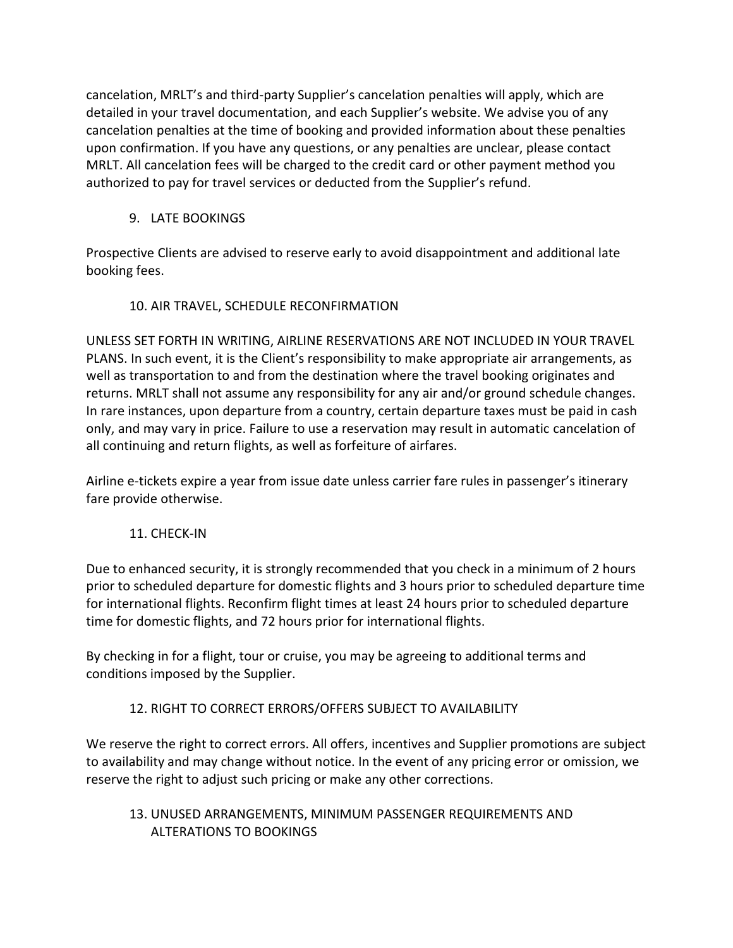cancelation, MRLT's and third-party Supplier's cancelation penalties will apply, which are detailed in your travel documentation, and each Supplier's website. We advise you of any cancelation penalties at the time of booking and provided information about these penalties upon confirmation. If you have any questions, or any penalties are unclear, please contact MRLT. All cancelation fees will be charged to the credit card or other payment method you authorized to pay for travel services or deducted from the Supplier's refund.

9. LATE BOOKINGS

Prospective Clients are advised to reserve early to avoid disappointment and additional late booking fees.

10. AIR TRAVEL, SCHEDULE RECONFIRMATION

UNLESS SET FORTH IN WRITING, AIRLINE RESERVATIONS ARE NOT INCLUDED IN YOUR TRAVEL PLANS. In such event, it is the Client's responsibility to make appropriate air arrangements, as well as transportation to and from the destination where the travel booking originates and returns. MRLT shall not assume any responsibility for any air and/or ground schedule changes. In rare instances, upon departure from a country, certain departure taxes must be paid in cash only, and may vary in price. Failure to use a reservation may result in automatic cancelation of all continuing and return flights, as well as forfeiture of airfares.

Airline e-tickets expire a year from issue date unless carrier fare rules in passenger's itinerary fare provide otherwise.

## 11. CHECK-IN

Due to enhanced security, it is strongly recommended that you check in a minimum of 2 hours prior to scheduled departure for domestic flights and 3 hours prior to scheduled departure time for international flights. Reconfirm flight times at least 24 hours prior to scheduled departure time for domestic flights, and 72 hours prior for international flights.

By checking in for a flight, tour or cruise, you may be agreeing to additional terms and conditions imposed by the Supplier.

## 12. RIGHT TO CORRECT ERRORS/OFFERS SUBJECT TO AVAILABILITY

We reserve the right to correct errors. All offers, incentives and Supplier promotions are subject to availability and may change without notice. In the event of any pricing error or omission, we reserve the right to adjust such pricing or make any other corrections.

13. UNUSED ARRANGEMENTS, MINIMUM PASSENGER REQUIREMENTS AND ALTERATIONS TO BOOKINGS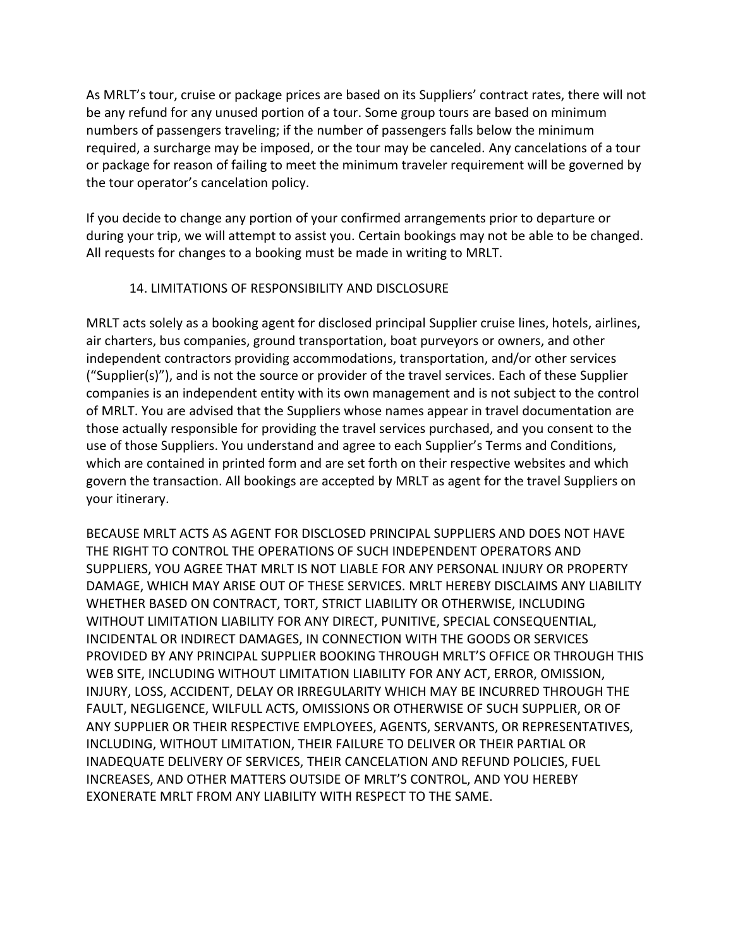As MRLT's tour, cruise or package prices are based on its Suppliers' contract rates, there will not be any refund for any unused portion of a tour. Some group tours are based on minimum numbers of passengers traveling; if the number of passengers falls below the minimum required, a surcharge may be imposed, or the tour may be canceled. Any cancelations of a tour or package for reason of failing to meet the minimum traveler requirement will be governed by the tour operator's cancelation policy.

If you decide to change any portion of your confirmed arrangements prior to departure or during your trip, we will attempt to assist you. Certain bookings may not be able to be changed. All requests for changes to a booking must be made in writing to MRLT.

#### 14. LIMITATIONS OF RESPONSIBILITY AND DISCLOSURE

MRLT acts solely as a booking agent for disclosed principal Supplier cruise lines, hotels, airlines, air charters, bus companies, ground transportation, boat purveyors or owners, and other independent contractors providing accommodations, transportation, and/or other services ("Supplier(s)"), and is not the source or provider of the travel services. Each of these Supplier companies is an independent entity with its own management and is not subject to the control of MRLT. You are advised that the Suppliers whose names appear in travel documentation are those actually responsible for providing the travel services purchased, and you consent to the use of those Suppliers. You understand and agree to each Supplier's Terms and Conditions, which are contained in printed form and are set forth on their respective websites and which govern the transaction. All bookings are accepted by MRLT as agent for the travel Suppliers on your itinerary.

BECAUSE MRLT ACTS AS AGENT FOR DISCLOSED PRINCIPAL SUPPLIERS AND DOES NOT HAVE THE RIGHT TO CONTROL THE OPERATIONS OF SUCH INDEPENDENT OPERATORS AND SUPPLIERS, YOU AGREE THAT MRLT IS NOT LIABLE FOR ANY PERSONAL INJURY OR PROPERTY DAMAGE, WHICH MAY ARISE OUT OF THESE SERVICES. MRLT HEREBY DISCLAIMS ANY LIABILITY WHETHER BASED ON CONTRACT, TORT, STRICT LIABILITY OR OTHERWISE, INCLUDING WITHOUT LIMITATION LIABILITY FOR ANY DIRECT, PUNITIVE, SPECIAL CONSEQUENTIAL, INCIDENTAL OR INDIRECT DAMAGES, IN CONNECTION WITH THE GOODS OR SERVICES PROVIDED BY ANY PRINCIPAL SUPPLIER BOOKING THROUGH MRLT'S OFFICE OR THROUGH THIS WEB SITE, INCLUDING WITHOUT LIMITATION LIABILITY FOR ANY ACT, ERROR, OMISSION, INJURY, LOSS, ACCIDENT, DELAY OR IRREGULARITY WHICH MAY BE INCURRED THROUGH THE FAULT, NEGLIGENCE, WILFULL ACTS, OMISSIONS OR OTHERWISE OF SUCH SUPPLIER, OR OF ANY SUPPLIER OR THEIR RESPECTIVE EMPLOYEES, AGENTS, SERVANTS, OR REPRESENTATIVES, INCLUDING, WITHOUT LIMITATION, THEIR FAILURE TO DELIVER OR THEIR PARTIAL OR INADEQUATE DELIVERY OF SERVICES, THEIR CANCELATION AND REFUND POLICIES, FUEL INCREASES, AND OTHER MATTERS OUTSIDE OF MRLT'S CONTROL, AND YOU HEREBY EXONERATE MRLT FROM ANY LIABILITY WITH RESPECT TO THE SAME.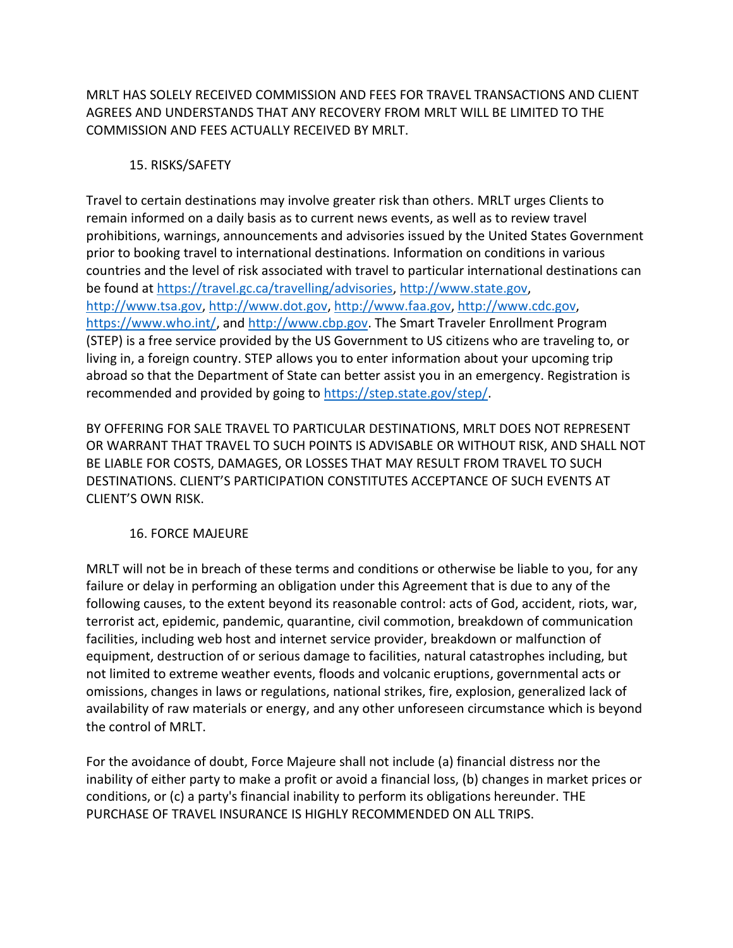MRLT HAS SOLELY RECEIVED COMMISSION AND FEES FOR TRAVEL TRANSACTIONS AND CLIENT AGREES AND UNDERSTANDS THAT ANY RECOVERY FROM MRLT WILL BE LIMITED TO THE COMMISSION AND FEES ACTUALLY RECEIVED BY MRLT.

#### 15. RISKS/SAFETY

Travel to certain destinations may involve greater risk than others. MRLT urges Clients to remain informed on a daily basis as to current news events, as well as to review travel prohibitions, warnings, announcements and advisories issued by the United States Government prior to booking travel to international destinations. Information on conditions in various countries and the level of risk associated with travel to particular international destinations can be found at [https://travel.gc.ca/travelling/advisories,](https://travel.gc.ca/travelling/advisories) [http://www.state.gov,](http://www.state.gov/) [http://www.tsa.gov,](http://www.tsa.gov/) [http://www.dot.gov,](http://www.dot.gov/) [http://www.faa.gov,](http://www.faa.gov/) [http://www.cdc.gov,](http://www.cdc.gov/) [https://www.who.int/,](https://www.who.int/) and [http://www.cbp.gov.](http://www.cbp.gov/) The Smart Traveler Enrollment Program (STEP) is a free service provided by the US Government to US citizens who are traveling to, or living in, a foreign country. STEP allows you to enter information about your upcoming trip abroad so that the Department of State can better assist you in an emergency. Registration is recommended and provided by going to [https://step.state.gov/step/.](https://step.state.gov/step/)

BY OFFERING FOR SALE TRAVEL TO PARTICULAR DESTINATIONS, MRLT DOES NOT REPRESENT OR WARRANT THAT TRAVEL TO SUCH POINTS IS ADVISABLE OR WITHOUT RISK, AND SHALL NOT BE LIABLE FOR COSTS, DAMAGES, OR LOSSES THAT MAY RESULT FROM TRAVEL TO SUCH DESTINATIONS. CLIENT'S PARTICIPATION CONSTITUTES ACCEPTANCE OF SUCH EVENTS AT CLIENT'S OWN RISK.

## 16. FORCE MAJEURE

MRLT will not be in breach of these terms and conditions or otherwise be liable to you, for any failure or delay in performing an obligation under this Agreement that is due to any of the following causes, to the extent beyond its reasonable control: acts of God, accident, riots, war, terrorist act, epidemic, pandemic, quarantine, civil commotion, breakdown of communication facilities, including web host and internet service provider, breakdown or malfunction of equipment, destruction of or serious damage to facilities, natural catastrophes including, but not limited to extreme weather events, floods and volcanic eruptions, governmental acts or omissions, changes in laws or regulations, national strikes, fire, explosion, generalized lack of availability of raw materials or energy, and any other unforeseen circumstance which is beyond the control of MRLT.

For the avoidance of doubt, Force Majeure shall not include (a) financial distress nor the inability of either party to make a profit or avoid a financial loss, (b) changes in market prices or conditions, or (c) a party's financial inability to perform its obligations hereunder. THE PURCHASE OF TRAVEL INSURANCE IS HIGHLY RECOMMENDED ON ALL TRIPS.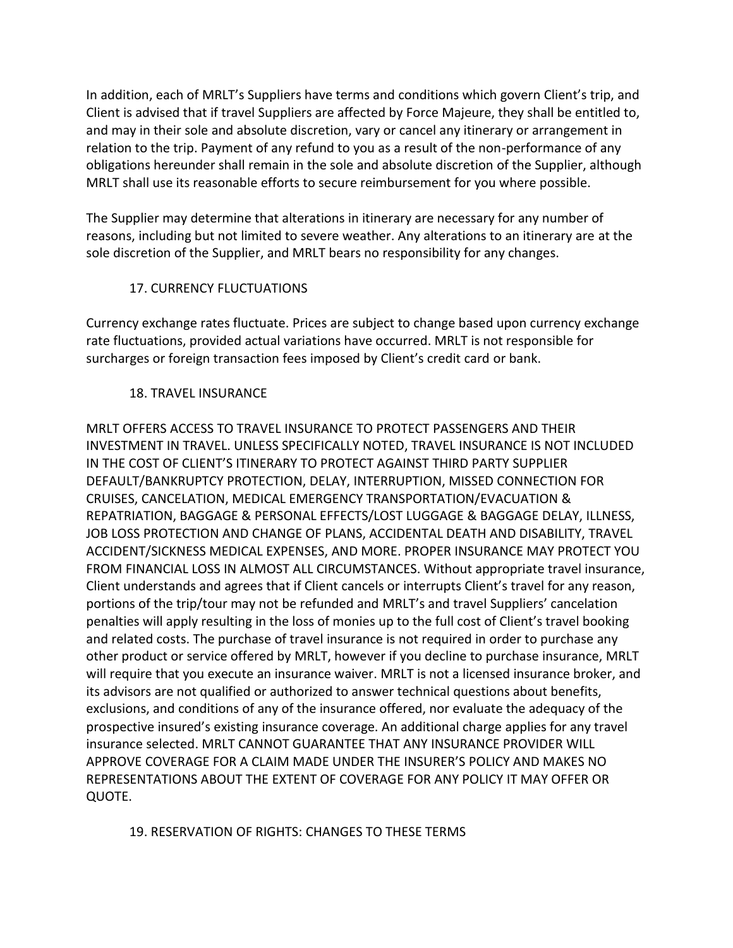In addition, each of MRLT's Suppliers have terms and conditions which govern Client's trip, and Client is advised that if travel Suppliers are affected by Force Majeure, they shall be entitled to, and may in their sole and absolute discretion, vary or cancel any itinerary or arrangement in relation to the trip. Payment of any refund to you as a result of the non-performance of any obligations hereunder shall remain in the sole and absolute discretion of the Supplier, although MRLT shall use its reasonable efforts to secure reimbursement for you where possible.

The Supplier may determine that alterations in itinerary are necessary for any number of reasons, including but not limited to severe weather. Any alterations to an itinerary are at the sole discretion of the Supplier, and MRLT bears no responsibility for any changes.

### 17. CURRENCY FLUCTUATIONS

Currency exchange rates fluctuate. Prices are subject to change based upon currency exchange rate fluctuations, provided actual variations have occurred. MRLT is not responsible for surcharges or foreign transaction fees imposed by Client's credit card or bank.

#### 18. TRAVEL INSURANCE

MRLT OFFERS ACCESS TO TRAVEL INSURANCE TO PROTECT PASSENGERS AND THEIR INVESTMENT IN TRAVEL. UNLESS SPECIFICALLY NOTED, TRAVEL INSURANCE IS NOT INCLUDED IN THE COST OF CLIENT'S ITINERARY TO PROTECT AGAINST THIRD PARTY SUPPLIER DEFAULT/BANKRUPTCY PROTECTION, DELAY, INTERRUPTION, MISSED CONNECTION FOR CRUISES, CANCELATION, MEDICAL EMERGENCY TRANSPORTATION/EVACUATION & REPATRIATION, BAGGAGE & PERSONAL EFFECTS/LOST LUGGAGE & BAGGAGE DELAY, ILLNESS, JOB LOSS PROTECTION AND CHANGE OF PLANS, ACCIDENTAL DEATH AND DISABILITY, TRAVEL ACCIDENT/SICKNESS MEDICAL EXPENSES, AND MORE. PROPER INSURANCE MAY PROTECT YOU FROM FINANCIAL LOSS IN ALMOST ALL CIRCUMSTANCES. Without appropriate travel insurance, Client understands and agrees that if Client cancels or interrupts Client's travel for any reason, portions of the trip/tour may not be refunded and MRLT's and travel Suppliers' cancelation penalties will apply resulting in the loss of monies up to the full cost of Client's travel booking and related costs. The purchase of travel insurance is not required in order to purchase any other product or service offered by MRLT, however if you decline to purchase insurance, MRLT will require that you execute an insurance waiver. MRLT is not a licensed insurance broker, and its advisors are not qualified or authorized to answer technical questions about benefits, exclusions, and conditions of any of the insurance offered, nor evaluate the adequacy of the prospective insured's existing insurance coverage. An additional charge applies for any travel insurance selected. MRLT CANNOT GUARANTEE THAT ANY INSURANCE PROVIDER WILL APPROVE COVERAGE FOR A CLAIM MADE UNDER THE INSURER'S POLICY AND MAKES NO REPRESENTATIONS ABOUT THE EXTENT OF COVERAGE FOR ANY POLICY IT MAY OFFER OR QUOTE.

#### 19. RESERVATION OF RIGHTS: CHANGES TO THESE TERMS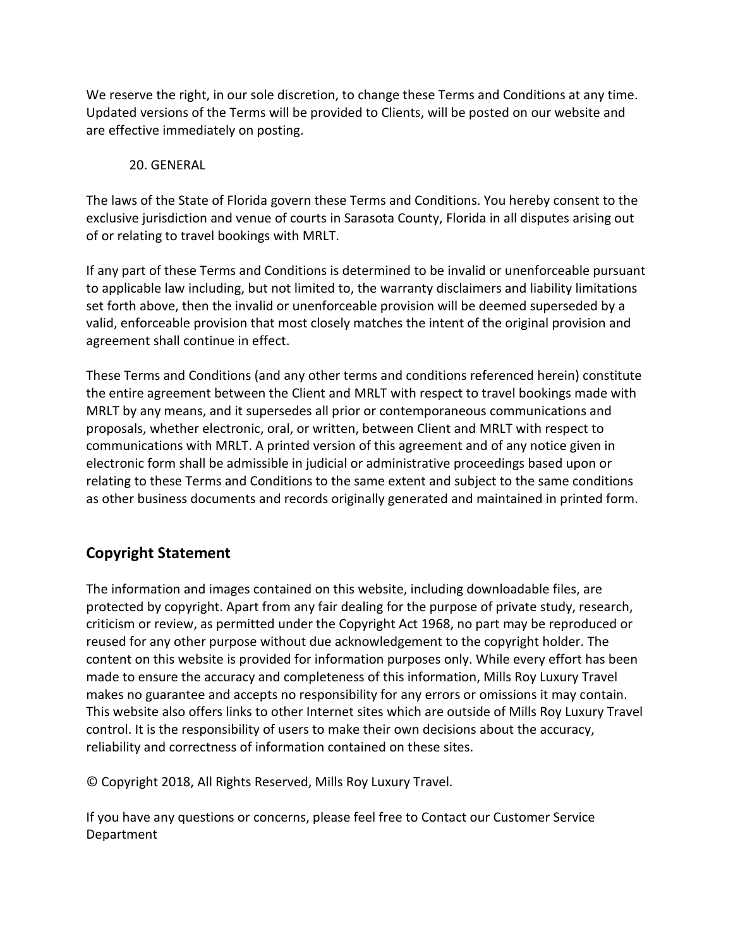We reserve the right, in our sole discretion, to change these Terms and Conditions at any time. Updated versions of the Terms will be provided to Clients, will be posted on our website and are effective immediately on posting.

#### 20. GENERAL

The laws of the State of Florida govern these Terms and Conditions. You hereby consent to the exclusive jurisdiction and venue of courts in Sarasota County, Florida in all disputes arising out of or relating to travel bookings with MRLT.

If any part of these Terms and Conditions is determined to be invalid or unenforceable pursuant to applicable law including, but not limited to, the warranty disclaimers and liability limitations set forth above, then the invalid or unenforceable provision will be deemed superseded by a valid, enforceable provision that most closely matches the intent of the original provision and agreement shall continue in effect.

These Terms and Conditions (and any other terms and conditions referenced herein) constitute the entire agreement between the Client and MRLT with respect to travel bookings made with MRLT by any means, and it supersedes all prior or contemporaneous communications and proposals, whether electronic, oral, or written, between Client and MRLT with respect to communications with MRLT. A printed version of this agreement and of any notice given in electronic form shall be admissible in judicial or administrative proceedings based upon or relating to these Terms and Conditions to the same extent and subject to the same conditions as other business documents and records originally generated and maintained in printed form.

# **Copyright Statement**

The information and images contained on this website, including downloadable files, are protected by copyright. Apart from any fair dealing for the purpose of private study, research, criticism or review, as permitted under the Copyright Act 1968, no part may be reproduced or reused for any other purpose without due acknowledgement to the copyright holder. The content on this website is provided for information purposes only. While every effort has been made to ensure the accuracy and completeness of this information, Mills Roy Luxury Travel makes no guarantee and accepts no responsibility for any errors or omissions it may contain. This website also offers links to other Internet sites which are outside of Mills Roy Luxury Travel control. It is the responsibility of users to make their own decisions about the accuracy, reliability and correctness of information contained on these sites.

© Copyright 2018, All Rights Reserved, Mills Roy Luxury Travel.

If you have any questions or concerns, please feel free to Contact our Customer Service Department